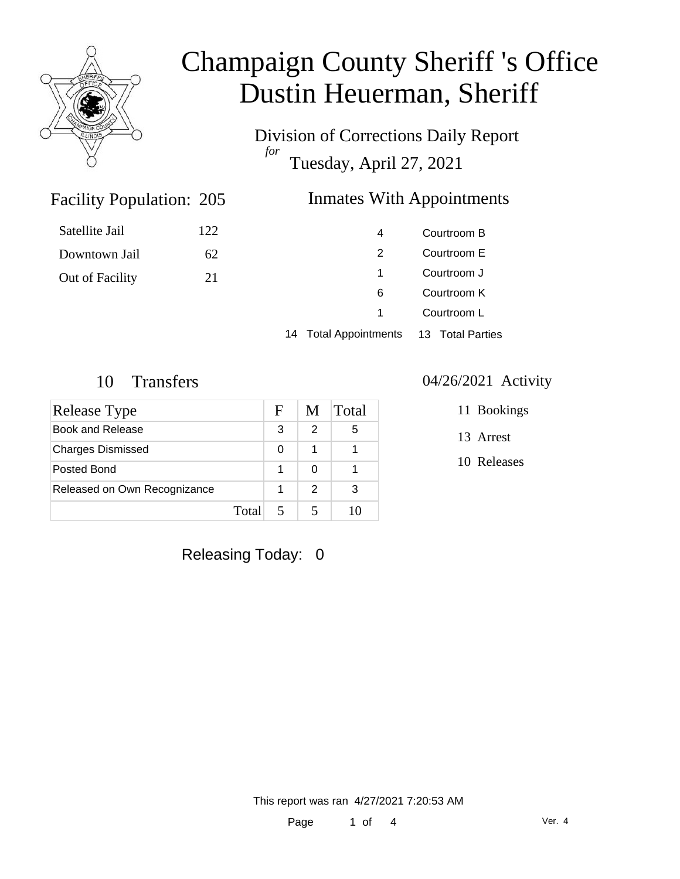

Division of Corrections Daily Report *for* Tuesday, April 27, 2021

### Inmates With Appointments

| Satellite Jail  | 122 | 4 | Courtroom B |
|-----------------|-----|---|-------------|
| Downtown Jail   | 62  |   | Courtroom E |
| Out of Facility | 21  |   | Courtroom J |
|                 |     | 6 | Courtroom K |
|                 |     |   | Courtroom L |

14 Total Appointments 13 Total Parties

### 10 Transfers 04/26/2021 Activity

Facility Population: 205

| Release Type                 |       | F | M             | Total |
|------------------------------|-------|---|---------------|-------|
| Book and Release             |       | 3 | 2             | 5     |
| <b>Charges Dismissed</b>     |       | 0 | 1             |       |
| Posted Bond                  |       |   |               |       |
| Released on Own Recognizance |       |   | $\mathcal{P}$ | 3     |
|                              | Total |   |               |       |

- 11 Bookings
- 13 Arrest
- 10 Releases

Releasing Today: 0

This report was ran 4/27/2021 7:20:53 AM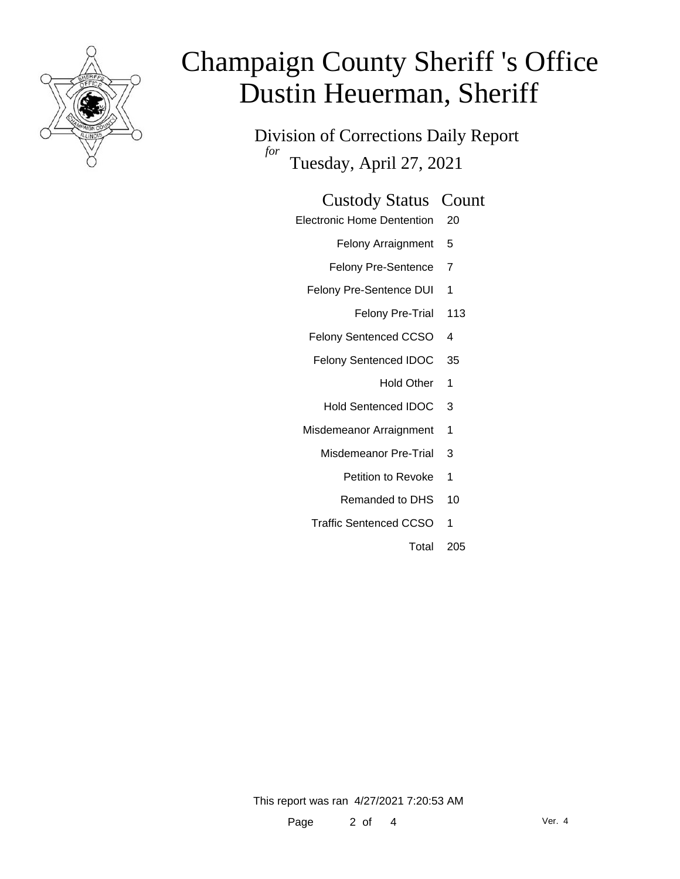

Division of Corrections Daily Report *for* Tuesday, April 27, 2021

#### Custody Status Count

- Electronic Home Dentention 20
	- Felony Arraignment 5
	- Felony Pre-Sentence 7
	- Felony Pre-Sentence DUI 1
		- Felony Pre-Trial 113
	- Felony Sentenced CCSO 4
	- Felony Sentenced IDOC 35
		- Hold Other 1
		- Hold Sentenced IDOC 3
	- Misdemeanor Arraignment 1
		- Misdemeanor Pre-Trial 3
			- Petition to Revoke 1
			- Remanded to DHS 10
		- Traffic Sentenced CCSO 1
			- Total 205

This report was ran 4/27/2021 7:20:53 AM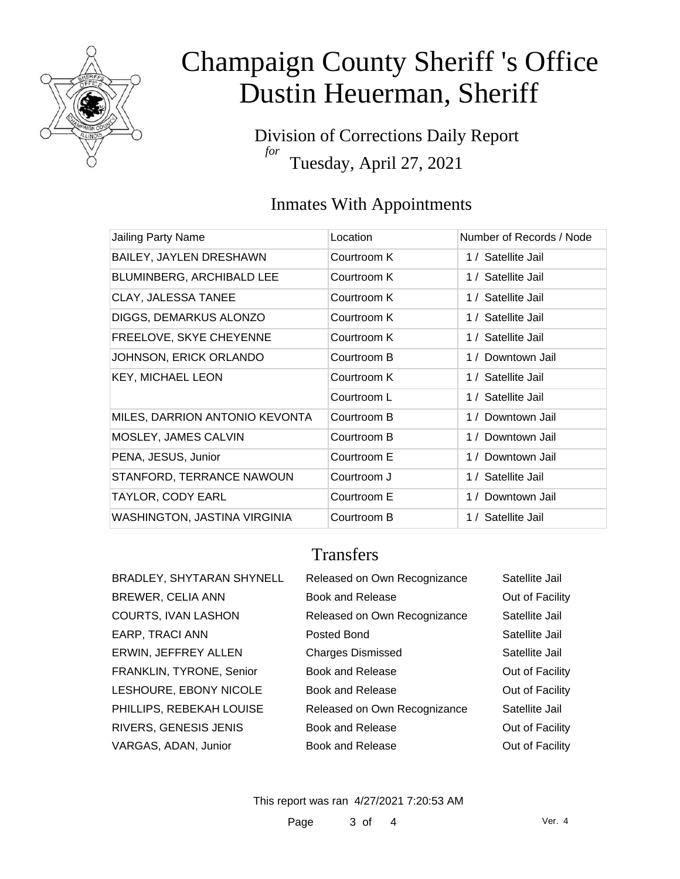

Division of Corrections Daily Report *for* Tuesday, April 27, 2021

### Inmates With Appointments

| Jailing Party Name             | Location    | Number of Records / Node |
|--------------------------------|-------------|--------------------------|
| <b>BAILEY, JAYLEN DRESHAWN</b> | Courtroom K | 1 / Satellite Jail       |
| BLUMINBERG, ARCHIBALD LEE      | Courtroom K | 1 / Satellite Jail       |
| CLAY, JALESSA TANEE            | Courtroom K | 1 / Satellite Jail       |
| DIGGS, DEMARKUS ALONZO         | Courtroom K | 1 / Satellite Jail       |
| FREELOVE, SKYE CHEYENNE        | Courtroom K | 1 / Satellite Jail       |
| JOHNSON, ERICK ORLANDO         | Courtroom B | 1 / Downtown Jail        |
| <b>KEY, MICHAEL LEON</b>       | Courtroom K | 1 / Satellite Jail       |
|                                | Courtroom L | 1 / Satellite Jail       |
| MILES, DARRION ANTONIO KEVONTA | Courtroom B | 1 / Downtown Jail        |
| MOSLEY, JAMES CALVIN           | Courtroom B | 1 / Downtown Jail        |
| PENA, JESUS, Junior            | Courtroom E | 1 / Downtown Jail        |
| STANFORD, TERRANCE NAWOUN      | Courtroom J | 1 / Satellite Jail       |
| <b>TAYLOR, CODY EARL</b>       | Courtroom E | 1 / Downtown Jail        |
| WASHINGTON, JASTINA VIRGINIA   | Courtroom B | 1 / Satellite Jail       |

### **Transfers**

| BRADLEY, SHYTARAN SHYNELL | Released on Own Recognizance | Satellite Jail  |
|---------------------------|------------------------------|-----------------|
| <b>BREWER, CELIA ANN</b>  | <b>Book and Release</b>      | Out of Facility |
| COURTS, IVAN LASHON       | Released on Own Recognizance | Satellite Jail  |
| EARP, TRACI ANN           | Posted Bond                  | Satellite Jail  |
| ERWIN, JEFFREY ALLEN      | <b>Charges Dismissed</b>     | Satellite Jail  |
| FRANKLIN, TYRONE, Senior  | Book and Release             | Out of Facility |
| LESHOURE, EBONY NICOLE    | Book and Release             | Out of Facility |
| PHILLIPS, REBEKAH LOUISE  | Released on Own Recognizance | Satellite Jail  |
| RIVERS, GENESIS JENIS     | <b>Book and Release</b>      | Out of Facility |
| VARGAS, ADAN, Junior      | Book and Release             | Out of Facility |

This report was ran 4/27/2021 7:20:53 AM